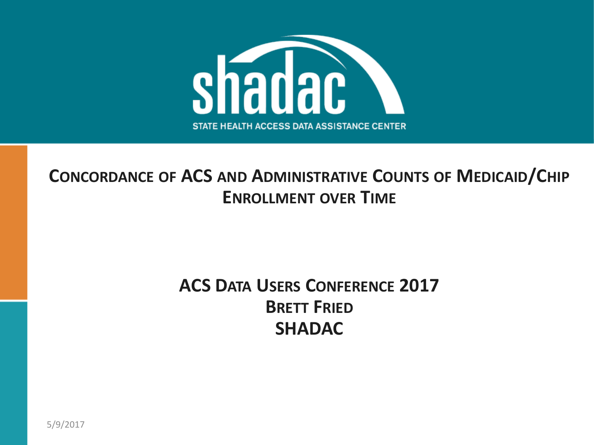

#### **CONCORDANCE OF ACS AND ADMINISTRATIVE COUNTS OF MEDICAID/CHIP ENROLLMENT OVER TIME**

#### **ACS DATA USERS CONFERENCE 2017 BRETT FRIED SHADAC**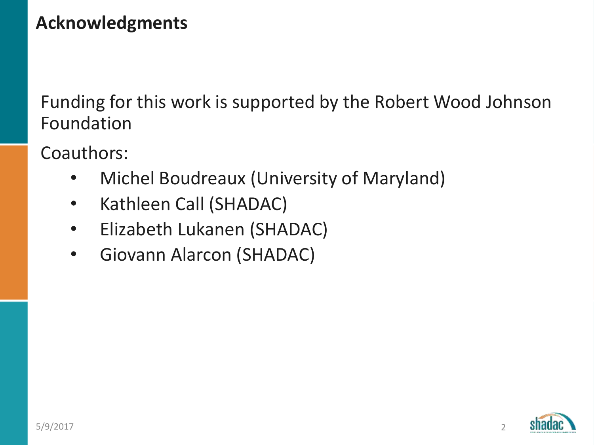## **Acknowledgments**

Funding for this work is supported by the Robert Wood Johnson Foundation

Coauthors:

- Michel Boudreaux (University of Maryland)
- Kathleen Call (SHADAC)
- Elizabeth Lukanen (SHADAC)
- Giovann Alarcon (SHADAC)

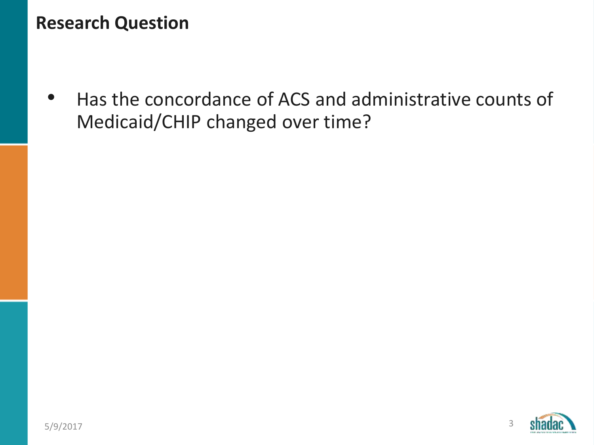#### **Research Question**

• Has the concordance of ACS and administrative counts of Medicaid/CHIP changed over time?

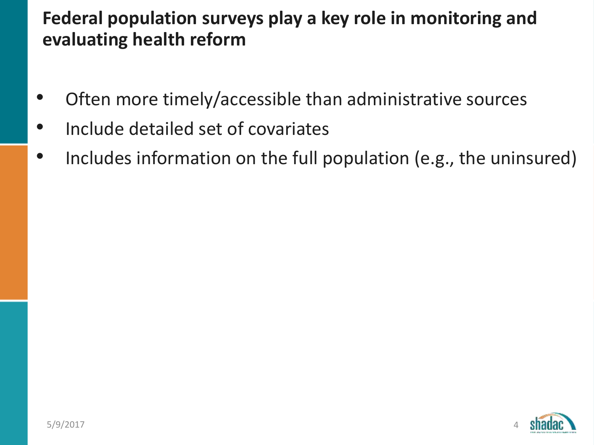#### **Federal population surveys play a key role in monitoring and evaluating health reform**

- Often more timely/accessible than administrative sources
- Include detailed set of covariates
- Includes information on the full population (e.g., the uninsured)

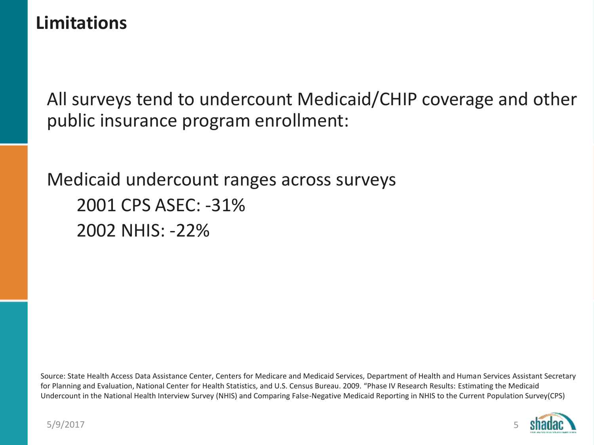#### **Limitations**

All surveys tend to undercount Medicaid/CHIP coverage and other public insurance program enrollment:

Medicaid undercount ranges across surveys 2001 CPS ASEC: -31% 2002 NHIS: -22%

Source: State Health Access Data Assistance Center, Centers for Medicare and Medicaid Services, Department of Health and Human Services Assistant Secretary for Planning and Evaluation, National Center for Health Statistics, and U.S. Census Bureau. 2009. "Phase IV Research Results: Estimating the Medicaid Undercount in the National Health Interview Survey (NHIS) and Comparing False-Negative Medicaid Reporting in NHIS to the Current Population Survey(CPS)

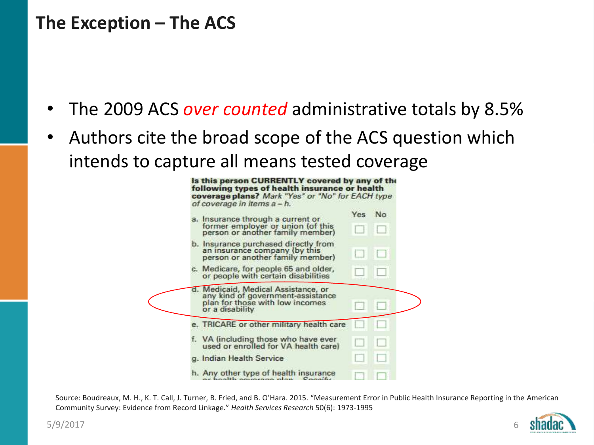#### **The Exception – The ACS**

- The 2009 ACS *over counted* administrative totals by 8.5%
- Authors cite the broad scope of the ACS question which intends to capture all means tested coverage



Source: Boudreaux, M. H., K. T. Call, J. Turner, B. Fried, and B. O'Hara. 2015. "Measurement Error in Public Health Insurance Reporting in the American Community Survey: Evidence from Record Linkage." *Health Services Research* 50(6): 1973-1995

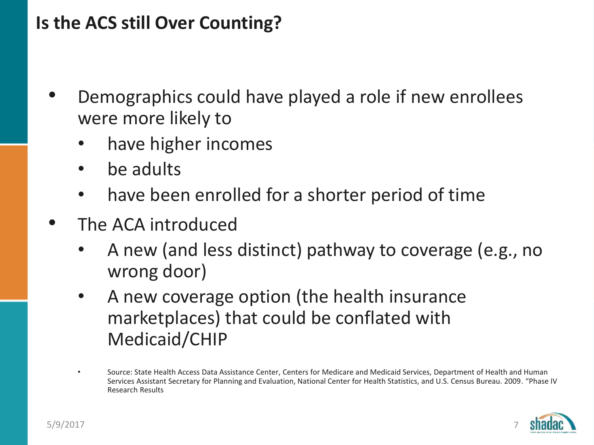#### **Is the ACS still Over Counting?**

- Demographics could have played a role if new enrollees were more likely to
	- have higher incomes
	- be adults
	- have been enrolled for a shorter period of time
- The ACA introduced
	- A new (and less distinct) pathway to coverage (e.g., no wrong door)
	- A new coverage option (the health insurance marketplaces) that could be conflated with Medicaid/CHIP
	- Source: State Health Access Data Assistance Center, Centers for Medicare and Medicaid Services, Department of Health and Human Services Assistant Secretary for Planning and Evaluation, National Center for Health Statistics, and U.S. Census Bureau. 2009. "Phase IV Research Results

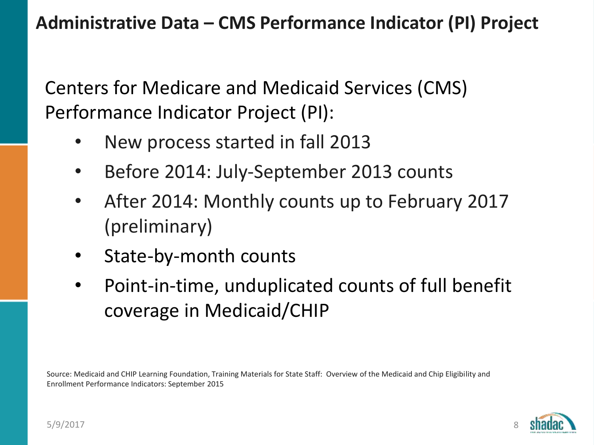**Administrative Data – CMS Performance Indicator (PI) Project**

Centers for Medicare and Medicaid Services (CMS) Performance Indicator Project (PI):

- New process started in fall 2013
- Before 2014: July-September 2013 counts
- After 2014: Monthly counts up to February 2017 (preliminary)
- State-by-month counts
- Point-in-time, unduplicated counts of full benefit coverage in Medicaid/CHIP

Source: Medicaid and CHIP Learning Foundation, Training Materials for State Staff: Overview of the Medicaid and Chip Eligibility and Enrollment Performance Indicators: September 2015

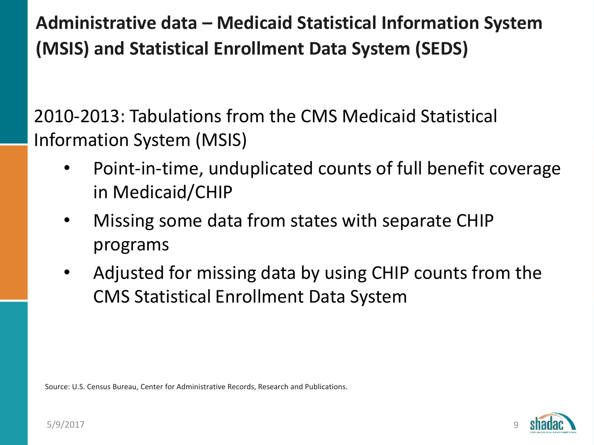**Administrative data – Medicaid Statistical Information System (MSIS) and Statistical Enrollment Data System (SEDS)**

2010-2013: Tabulations from the CMS Medicaid Statistical Information System (MSIS)

- Point-in-time, unduplicated counts of full benefit coverage in Medicaid/CHIP
- Missing some data from states with separate CHIP programs
- Adjusted for missing data by using CHIP counts from the CMS Statistical Enrollment Data System

Source: U.S. Census Bureau, Center for Administrative Records, Research and Publications.

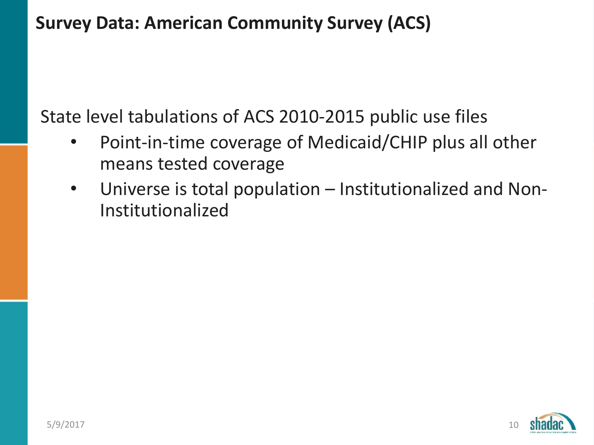### **Survey Data: American Community Survey (ACS)**

State level tabulations of ACS 2010-2015 public use files

- Point-in-time coverage of Medicaid/CHIP plus all other means tested coverage
- Universe is total population Institutionalized and Non-Institutionalized

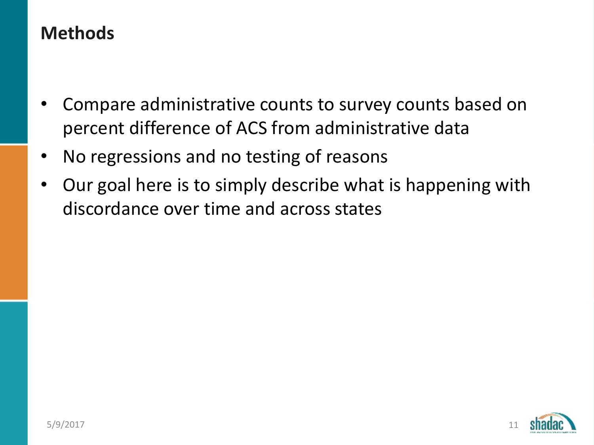#### **Methods**

- Compare administrative counts to survey counts based on percent difference of ACS from administrative data
- No regressions and no testing of reasons
- Our goal here is to simply describe what is happening with discordance over time and across states

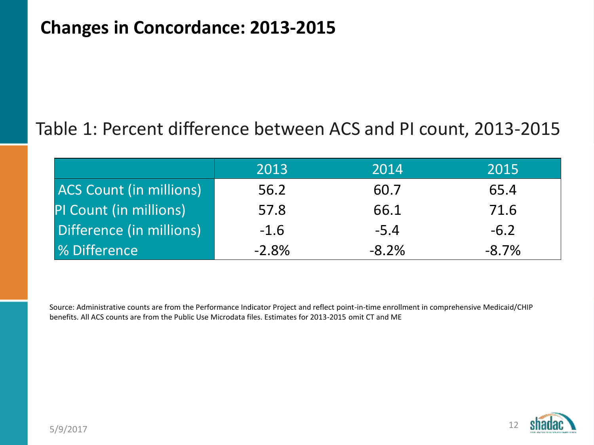#### **Changes in Concordance: 2013-2015**

#### Table 1: Percent difference between ACS and PI count, 2013-2015

|                                | 2013    | 2014    | 2015    |
|--------------------------------|---------|---------|---------|
| <b>ACS Count (in millions)</b> | 56.2    | 60.7    | 65.4    |
| PI Count (in millions)         | 57.8    | 66.1    | 71.6    |
| Difference (in millions)       | $-1.6$  | $-5.4$  | $-6.2$  |
| <b>1% Difference</b>           | $-2.8%$ | $-8.2%$ | $-8.7%$ |

Source: Administrative counts are from the Performance Indicator Project and reflect point-in-time enrollment in comprehensive Medicaid/CHIP benefits. All ACS counts are from the Public Use Microdata files. Estimates for 2013-2015 omit CT and ME

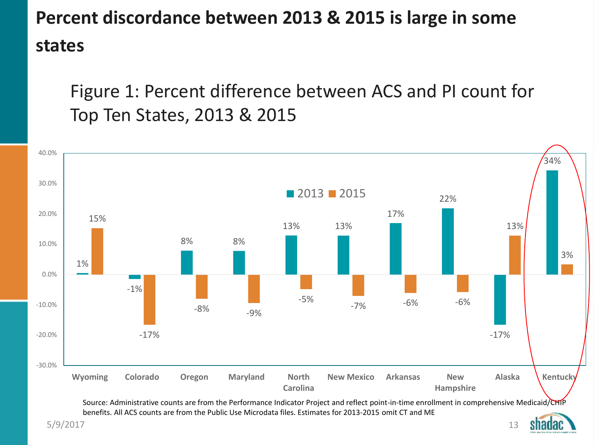# **Percent discordance between 2013 & 2015 is large in some states**

Figure 1: Percent difference between ACS and PI count for Top Ten States, 2013 & 2015



5/9/2017

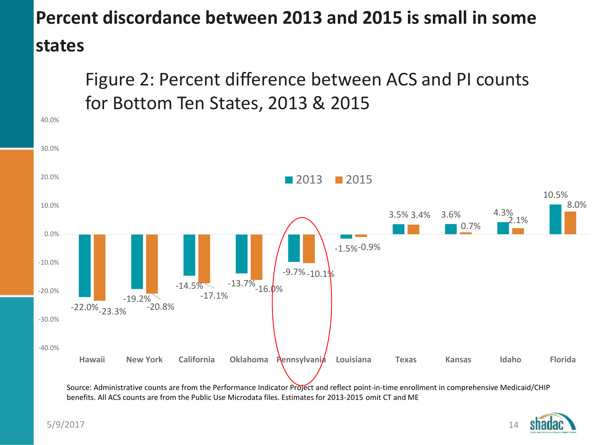# **Percent discordance between 2013 and 2015 is small in some states**

Figure 2: Percent difference between ACS and PI counts for Bottom Ten States, 2013 & 2015



Source: Administrative counts are from the Performance Indicator Project and reflect point-in-time enrollment in comprehensive Medicaid/CHIP benefits. All ACS counts are from the Public Use Microdata files. Estimates for 2013-2015 omit CT and ME

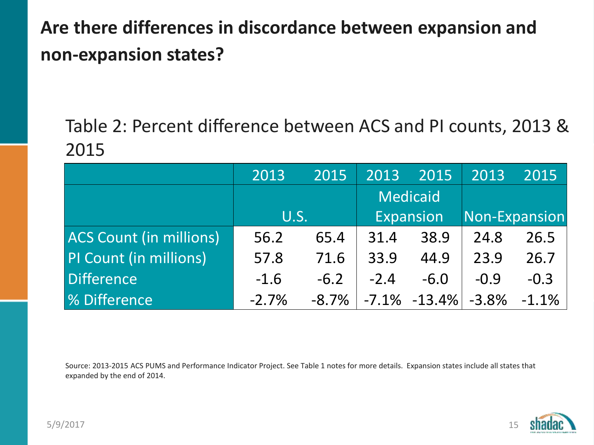# **Are there differences in discordance between expansion and non-expansion states?**

Table 2: Percent difference between ACS and PI counts, 2013 & 2015

|                                | 2013    | 2015     | 2013            | 2015             | 2013          | 2015     |
|--------------------------------|---------|----------|-----------------|------------------|---------------|----------|
|                                | U.S.    |          | <b>Medicaid</b> |                  |               |          |
|                                |         |          | Expansion       |                  | Non-Expansion |          |
| <b>ACS Count (in millions)</b> | 56.2    | 65.4     | 31.4            | 38.9             | 24.8          | 26.5     |
| PI Count (in millions)         | 57.8    | 71.6     | 33.9            | 44.9             | 23.9          | 26.7     |
| Difference                     | $-1.6$  | $-6.2$   | $-2.4$          | $-6.0$           | $-0.9$        | $-0.3$   |
| <b>% Difference</b>            | $-2.7%$ | $-8.7\%$ |                 | $-7.1\% -13.4\%$ | $-3.8%$       | $-1.1\%$ |

Source: 2013-2015 ACS PUMS and Performance Indicator Project. See Table 1 notes for more details. Expansion states include all states that expanded by the end of 2014.

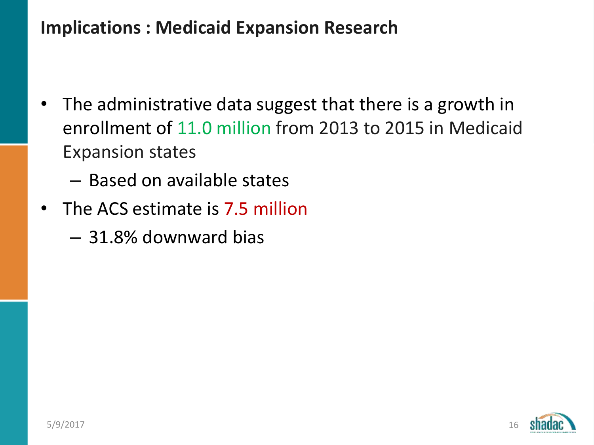#### **Implications : Medicaid Expansion Research**

- The administrative data suggest that there is a growth in enrollment of 11.0 million from 2013 to 2015 in Medicaid Expansion states
	- Based on available states
- The ACS estimate is 7.5 million
	- 31.8% downward bias

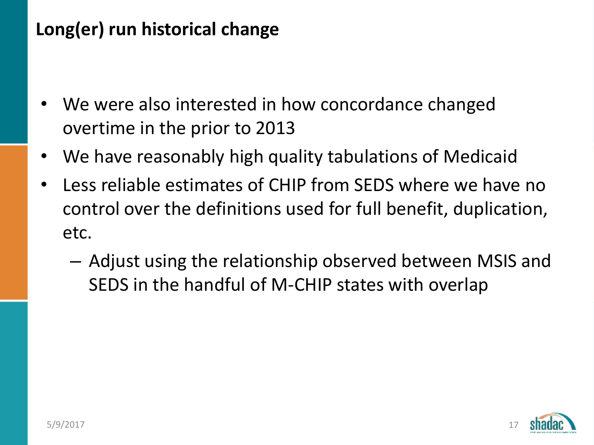# **Long(er) run historical change**

- We were also interested in how concordance changed overtime in the prior to 2013
- We have reasonably high quality tabulations of Medicaid
- Less reliable estimates of CHIP from SEDS where we have no control over the definitions used for full benefit, duplication, etc.
	- Adjust using the relationship observed between MSIS and SEDS in the handful of M-CHIP states with overlap

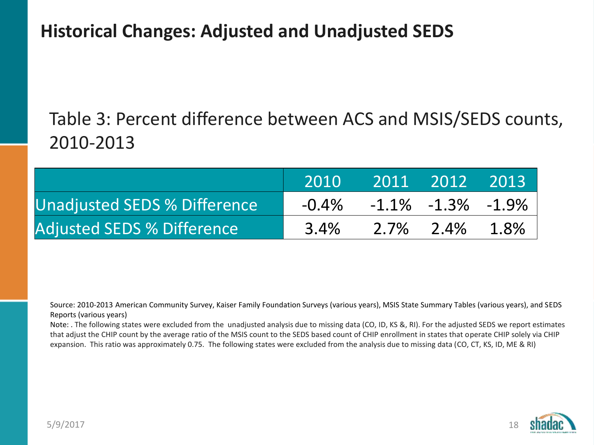#### **Historical Changes: Adjusted and Unadjusted SEDS**

# Table 3: Percent difference between ACS and MSIS/SEDS counts, 2010-2013

|                                     | 2010     | 2011 2012 2013 |                            |  |
|-------------------------------------|----------|----------------|----------------------------|--|
| <b>Unadjusted SEDS % Difference</b> | $-0.4\%$ |                | $-1.1\%$ $-1.3\%$ $-1.9\%$ |  |
| <b>Adjusted SEDS % Difference</b>   | 3.4%     |                | 2.7% 2.4% 1.8%             |  |

Source: 2010-2013 American Community Survey, Kaiser Family Foundation Surveys (various years), MSIS State Summary Tables (various years), and SEDS Reports (various years)

Note: . The following states were excluded from the unadjusted analysis due to missing data (CO, ID, KS &, RI). For the adjusted SEDS we report estimates that adjust the CHIP count by the average ratio of the MSIS count to the SEDS based count of CHIP enrollment in states that operate CHIP solely via CHIP expansion. This ratio was approximately 0.75. The following states were excluded from the analysis due to missing data (CO, CT, KS, ID, ME & RI)

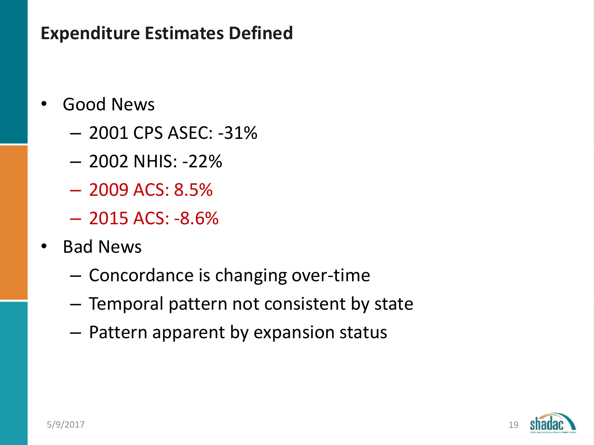#### **Expenditure Estimates Defined**

- Good News
	- 2001 CPS ASEC: -31%
	- 2002 NHIS: -22%
	- 2009 ACS: 8.5%
	- $-2015$  ACS:  $-8.6%$
- Bad News
	- Concordance is changing over-time
	- Temporal pattern not consistent by state
	- Pattern apparent by expansion status